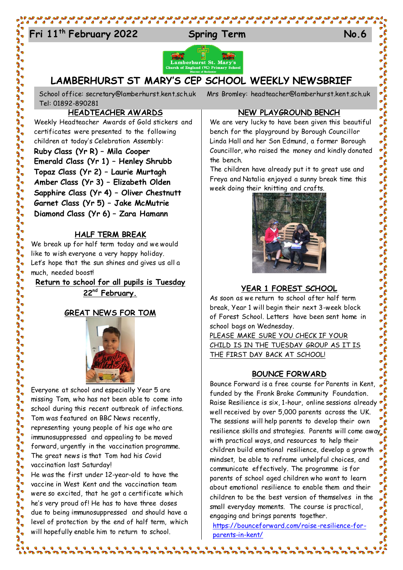# Fri 11<sup>th</sup> February 2022 Spring Term No.6



**LAMBERHURST ST MARY'S CEP SCHOOL WEEKLY NEWSBRIEF**

School office: [secretary@lamberhurst.kent.sch.uk](mailto:secretary@lamberhurst.kent.sch.uk) Mrs Bromley: headteacher@lamberhurst.kent.sch.uk Tel: 01892-890281

#### **HEADTEACHER AWARDS**

Weekly Headteacher Awards of Gold stickers and certificates were presented to the following children at today's Celebration Assembly: **Ruby Class (Yr R) – Mila Cooper Emerald Class (Yr 1) – Henley Shrubb Topaz Class (Yr 2) – Laurie Murtagh Amber Class (Yr 3) – Elizabeth Olden Sapphire Class (Yr 4) – Oliver Chestnutt Garnet Class (Yr 5) – Jake McMutrie Diamond Class (Yr 6) – Zara Hamann**

#### **HALF TERM BREAK**

We break up for half term today and we would like to wish everyone a very happy holiday. Let's hope that the sun shines and gives us all a much, needed boost!

**Return to school for all pupils is Tuesday 22nd February.**

## **GREAT NEWS FOR TOM**



Everyone at school and especially Year 5 are missing Tom, who has not been able to come into school during this recent outbreak of infections. Tom was featured on BBC News recently, representing young people of his age who are immunosuppressed and appealing to be moved forward, urgently in the vaccination programme. The great news is that Tom had his Covid vaccination last Saturday! He was the first under 12-year-old to have the

vaccine in West Kent and the vaccination team were so excited, that he got a certificate which he's very proud of! He has to have three doses due to being immunosuppressed and should have a level of protection by the end of half term, which will hopefully enable him to return to school.

**NEW PLAYGROUND BENCH**

We are very lucky to have been given this beautiful bench for the playground by Borough Councillor Linda Hall and her Son Edmund, a former Borough Councillor, who raised the money and kindly donated the bench.

The children have already put it to great use and Freya and Natalia enjoyed a sunny break time this week doing their knitting and crafts.



## **YEAR 1 FOREST SCHOOL**

As soon as we return to school after half term break, Year 1 will begin their next 3-week block of Forest School. Letters have been sent home in school bags on Wednesday.

PLEASE MAKE SURE YOU CHECK IF YOUR CHILD IS IN THE TUESDAY GROUP AS IT IS THE FIRST DAY BACK AT SCHOOL!

#### **BOUNCE FORWARD**

Bounce Forward is a free course for Parents in Kent, funded by the Frank Brake Community Foundation. Raise Resilience is six, 1-hour, online sessions already well received by over 5,000 parents across the UK. The sessions will help parents to develop their own resilience skills and strategies. Parents will come away with practical ways, and resources to help their children build emotional resilience, develop a growth mindset, be able to reframe unhelpful choices, and communicate effectively. The programme is for parents of school aged children who want to learn about emotional resilience to enable them and their children to be the best version of themselves in the small everyday moments. The course is practical, engaging and brings parents together.

[https://bounceforward.com/raise-resilience-for](https://bounceforward.com/raise-resilience-for-parents-in-kent/)[parents-in-kent/](https://bounceforward.com/raise-resilience-for-parents-in-kent/)